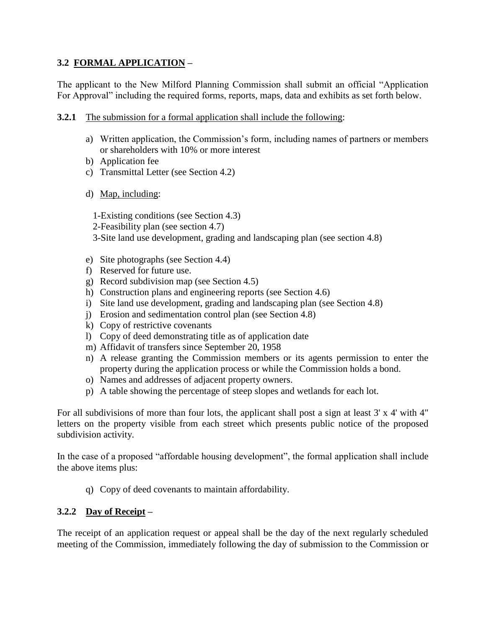## **3.2 FORMAL APPLICATION –**

The applicant to the New Milford Planning Commission shall submit an official "Application For Approval" including the required forms, reports, maps, data and exhibits as set forth below.

- **3.2.1** The submission for a formal application shall include the following:
	- a) Written application, the Commission's form, including names of partners or members or shareholders with 10% or more interest
	- b) Application fee
	- c) Transmittal Letter (see Section 4.2)
	- d) Map, including:
		- 1-Existing conditions (see Section 4.3)
		- 2-Feasibility plan (see section 4.7)
		- 3-Site land use development, grading and landscaping plan (see section 4.8)
	- e) Site photographs (see Section 4.4)
	- f) Reserved for future use.
	- g) Record subdivision map (see Section 4.5)
	- h) Construction plans and engineering reports (see Section 4.6)
	- i) Site land use development, grading and landscaping plan (see Section 4.8)
	- j) Erosion and sedimentation control plan (see Section 4.8)
	- k) Copy of restrictive covenants
	- l) Copy of deed demonstrating title as of application date
	- m) Affidavit of transfers since September 20, 1958
	- n) A release granting the Commission members or its agents permission to enter the property during the application process or while the Commission holds a bond.
	- o) Names and addresses of adjacent property owners.
	- p) A table showing the percentage of steep slopes and wetlands for each lot.

For all subdivisions of more than four lots, the applicant shall post a sign at least 3' x 4' with 4" letters on the property visible from each street which presents public notice of the proposed subdivision activity.

In the case of a proposed "affordable housing development", the formal application shall include the above items plus:

q) Copy of deed covenants to maintain affordability.

## **3.2.2 Day of Receipt –**

The receipt of an application request or appeal shall be the day of the next regularly scheduled meeting of the Commission, immediately following the day of submission to the Commission or